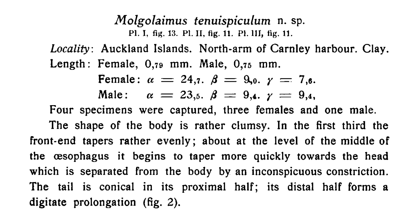## Molgolaimus tenuispiculum n. sp. PI. I, fig. 13. Pl. II, fig. 11. PI. 111, fig. 11.

Locality: Auckland Islands. North-arm of Carnley harbour. Clay. Length: Female,  $0_{.79}$  mm. Male,  $0_{.75}$  mm.

Female: 
$$
\alpha = 24,7
$$
.  $\beta = 9,0$ .  $\gamma = 7,6$ .  
Male:  $\alpha = 23,5$ .  $\beta = 9,4$ .  $\gamma = 9,4$ .

Four specimens were captured, three females and one male. The shape of the body is rather clumsy. In the first third the front-end tapers rather evenly; about at the level of the middle of the oesophagus it begins to taper more quickly towards the head which is separated from the body by an inconspicuous constriction. The tail is conical in its proximal half; its distal half forms a digitate prolongation (fig. 2).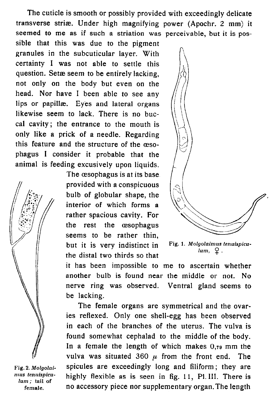The cuticle is smooth or possibly provided with exceedingly delicate transverse striæ. Under high magnifying power (Apochr. 2 mm) it seemed to me as if such a striation was perceivable, but it is pos-

sible that this was due to the pigment granules in the subcuticular layer. With certainty I was not able to settle this question. Setæ seem to be entirely lacking. not only on the body but even on the head. Nor have I been able to see any lips or papillæ. Eyes and lateral organs likewise seem to lack. There is no buccal cavity; the entrance to the mouth is only like a prick of a needle. Regarding this feature and the structure of the  $\text{u}$ sophagus I consider it probable that the animal is feeding excusively upon liquids.

> The œsophagus is at its base. provided with a conspicuous bulb of globular shape, the interior of which forms a rather spacious cavity. For the rest the oesophagus seems to be rather thin, but it is very indistinct in Fig. 1. Molgolaimus tenuispicuthe distal two thirds so that



it has been impossible to me to ascertain whether another bulb is found near the middle or not. No nerve ring was observed. Ventral gland seems to be lacking.

The female organs are symmetrical and the ovaries reflexed. Only one shell-egg has been observed in each of the branches of the uterus. The vulva is found somewhat cephalad to the middle of the body. In a female the length of which makes  $0,79$  mm the vulva was situated 360  $\mu$  from the front end. The spicules are exceedingly long and filiform; they are highly flexible as is seen in fig. 11, PI. III. There is no accessory piece nor supplementary organ.The length

Fig. 2. Molgolaimus tenuispiculum; tail of female.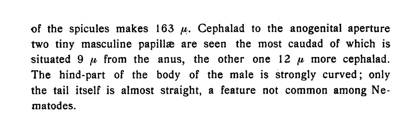of the spicules makes 163  $\mu$ . Cephalad to the anogenital aperture two tiny masculine papillæ are seen the most caudad of which is situated 9  $\mu$  from the anus, the other one 12  $\mu$  more cephalad. The hind-part of the body of the male is strongly curved; only the tail itself is almost straight, a feature not common among Nematodes.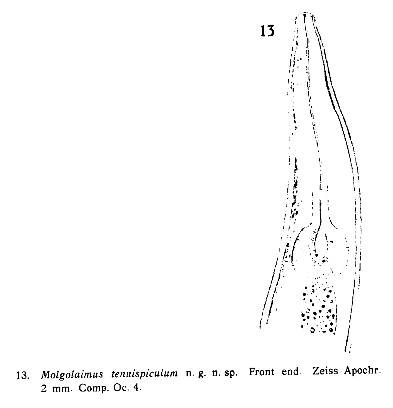

Zeiss Apochr. Molgolaimus tenuispiculum n. g. n. sp. Front end.  $13.$ 2 mm. Comp. Oc. 4.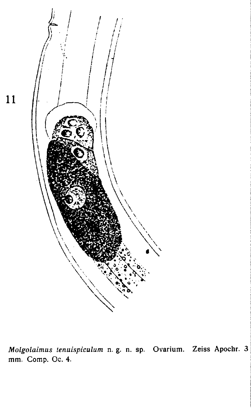

11

Molgolaimus tenuispiculum n. g. n. sp. Ovarium. Zeiss Apochr. 3 mm. Comp. Oc. 4.